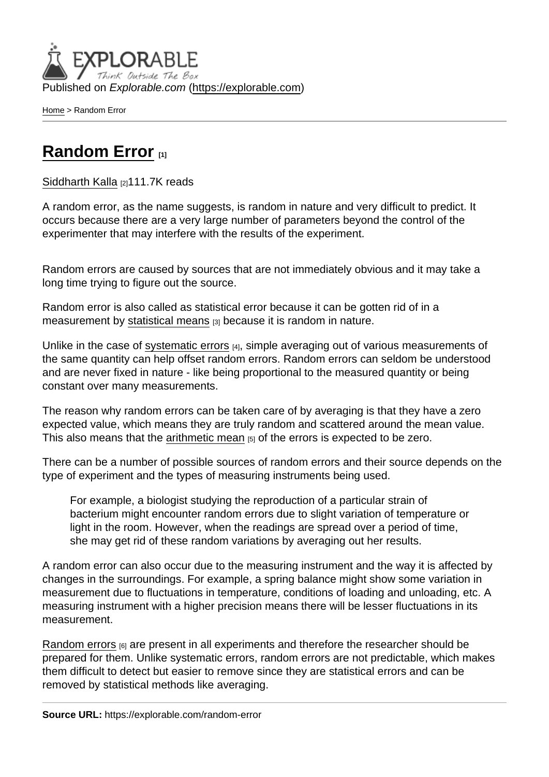Published on Explorable.com (<https://explorable.com>)

[Home](https://explorable.com/) > Random Error

## [Random Error](https://explorable.com/random-error) [1]

[Siddharth Kalla](https://explorable.com/users/siddharth) [2]111.7K reads

A random error, as the name suggests, is random in nature and very difficult to predict. It occurs because there are a very large number of parameters beyond the control of the experimenter that may interfere with the results of the experiment.

Random errors are caused by sources that are not immediately obvious and it may take a long time trying to figure out the source.

Random error is also called as statistical error because it can be gotten rid of in a measurement by [statistical means](https://explorable.com/statistical-mean)  $131$  because it is random in nature.

Unlike in the case of [systematic errors](https://explorable.com/systematic-error) [4], simple averaging out of various measurements of the same quantity can help offset random errors. Random errors can seldom be understood and are never fixed in nature - like being proportional to the measured quantity or being constant over many measurements.

The reason why random errors can be taken care of by averaging is that they have a zero expected value, which means they are truly random and scattered around the mean value. This also means that the [arithmetic mean](https://explorable.com/arithmetic-mean) [5] of the errors is expected to be zero.

There can be a number of possible sources of random errors and their source depends on the type of experiment and the types of measuring instruments being used.

For example, a biologist studying the reproduction of a particular strain of bacterium might encounter random errors due to slight variation of temperature or light in the room. However, when the readings are spread over a period of time, she may get rid of these random variations by averaging out her results.

A random error can also occur due to the measuring instrument and the way it is affected by changes in the surroundings. For example, a spring balance might show some variation in measurement due to fluctuations in temperature, conditions of loading and unloading, etc. A measuring instrument with a higher precision means there will be lesser fluctuations in its measurement.

[Random errors](http://en.wikipedia.org/wiki/Random_error) [6] are present in all experiments and therefore the researcher should be prepared for them. Unlike systematic errors, random errors are not predictable, which makes them difficult to detect but easier to remove since they are statistical errors and can be removed by statistical methods like averaging.